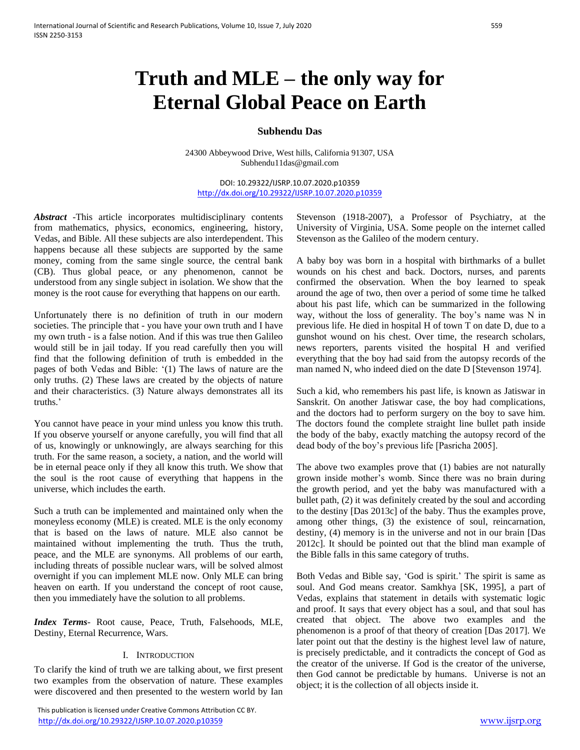# **Truth and MLE – the only way for Eternal Global Peace on Earth**

## **Subhendu Das**

24300 Abbeywood Drive, West hills, California 91307, USA Subhendu11das@gmail.com

DOI: 10.29322/IJSRP.10.07.2020.p10359 <http://dx.doi.org/10.29322/IJSRP.10.07.2020.p10359>

*Abstract* -This article incorporates multidisciplinary contents from mathematics, physics, economics, engineering, history, Vedas, and Bible. All these subjects are also interdependent. This happens because all these subjects are supported by the same money, coming from the same single source, the central bank (CB). Thus global peace, or any phenomenon, cannot be understood from any single subject in isolation. We show that the money is the root cause for everything that happens on our earth.

Unfortunately there is no definition of truth in our modern societies. The principle that - you have your own truth and I have my own truth - is a false notion. And if this was true then Galileo would still be in jail today. If you read carefully then you will find that the following definition of truth is embedded in the pages of both Vedas and Bible: '(1) The laws of nature are the only truths. (2) These laws are created by the objects of nature and their characteristics. (3) Nature always demonstrates all its truths.'

You cannot have peace in your mind unless you know this truth. If you observe yourself or anyone carefully, you will find that all of us, knowingly or unknowingly, are always searching for this truth. For the same reason, a society, a nation, and the world will be in eternal peace only if they all know this truth. We show that the soul is the root cause of everything that happens in the universe, which includes the earth.

Such a truth can be implemented and maintained only when the moneyless economy (MLE) is created. MLE is the only economy that is based on the laws of nature. MLE also cannot be maintained without implementing the truth. Thus the truth, peace, and the MLE are synonyms. All problems of our earth, including threats of possible nuclear wars, will be solved almost overnight if you can implement MLE now. Only MLE can bring heaven on earth. If you understand the concept of root cause, then you immediately have the solution to all problems.

*Index Terms*- Root cause, Peace, Truth, Falsehoods, MLE, Destiny, Eternal Recurrence, Wars.

#### I. INTRODUCTION

To clarify the kind of truth we are talking about, we first present two examples from the observation of nature. These examples were discovered and then presented to the western world by Ian

 This publication is licensed under Creative Commons Attribution CC BY. <http://dx.doi.org/10.29322/IJSRP.10.07.2020.p10359> [www.ijsrp.org](http://ijsrp.org/)

Stevenson (1918-2007), a Professor of Psychiatry, at the University of Virginia, USA. Some people on the internet called Stevenson as the Galileo of the modern century.

A baby boy was born in a hospital with birthmarks of a bullet wounds on his chest and back. Doctors, nurses, and parents confirmed the observation. When the boy learned to speak around the age of two, then over a period of some time he talked about his past life, which can be summarized in the following way, without the loss of generality. The boy's name was N in previous life. He died in hospital H of town T on date D, due to a gunshot wound on his chest. Over time, the research scholars, news reporters, parents visited the hospital H and verified everything that the boy had said from the autopsy records of the man named N, who indeed died on the date D [Stevenson 1974].

Such a kid, who remembers his past life, is known as Jatiswar in Sanskrit. On another Jatiswar case, the boy had complications, and the doctors had to perform surgery on the boy to save him. The doctors found the complete straight line bullet path inside the body of the baby, exactly matching the autopsy record of the dead body of the boy's previous life [Pasricha 2005].

The above two examples prove that (1) babies are not naturally grown inside mother's womb. Since there was no brain during the growth period, and yet the baby was manufactured with a bullet path, (2) it was definitely created by the soul and according to the destiny [Das 2013c] of the baby. Thus the examples prove, among other things, (3) the existence of soul, reincarnation, destiny, (4) memory is in the universe and not in our brain [Das 2012c]. It should be pointed out that the blind man example of the Bible falls in this same category of truths.

Both Vedas and Bible say, 'God is spirit.' The spirit is same as soul. And God means creator. Samkhya [SK, 1995], a part of Vedas, explains that statement in details with systematic logic and proof. It says that every object has a soul, and that soul has created that object. The above two examples and the phenomenon is a proof of that theory of creation [Das 2017]. We later point out that the destiny is the highest level law of nature, is precisely predictable, and it contradicts the concept of God as the creator of the universe. If God is the creator of the universe, then God cannot be predictable by humans. Universe is not an object; it is the collection of all objects inside it.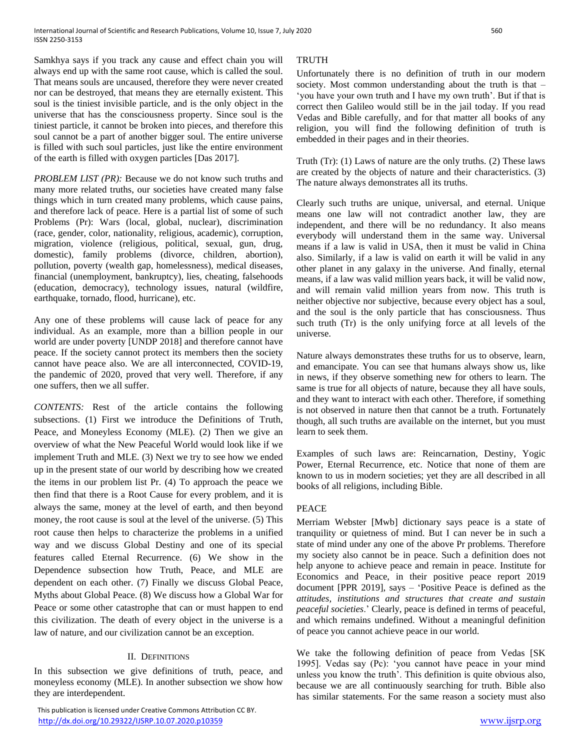Samkhya says if you track any cause and effect chain you will always end up with the same root cause, which is called the soul. That means souls are uncaused, therefore they were never created nor can be destroyed, that means they are eternally existent. This soul is the tiniest invisible particle, and is the only object in the universe that has the consciousness property. Since soul is the tiniest particle, it cannot be broken into pieces, and therefore this soul cannot be a part of another bigger soul. The entire universe is filled with such soul particles, just like the entire environment of the earth is filled with oxygen particles [Das 2017].

*PROBLEM LIST (PR):* Because we do not know such truths and many more related truths, our societies have created many false things which in turn created many problems, which cause pains, and therefore lack of peace. Here is a partial list of some of such Problems (Pr): Wars (local, global, nuclear), discrimination (race, gender, color, nationality, religious, academic), corruption, migration, violence (religious, political, sexual, gun, drug, domestic), family problems (divorce, children, abortion), pollution, poverty (wealth gap, homelessness), medical diseases, financial (unemployment, bankruptcy), lies, cheating, falsehoods (education, democracy), technology issues, natural (wildfire, earthquake, tornado, flood, hurricane), etc.

Any one of these problems will cause lack of peace for any individual. As an example, more than a billion people in our world are under poverty [UNDP 2018] and therefore cannot have peace. If the society cannot protect its members then the society cannot have peace also. We are all interconnected, COVID-19, the pandemic of 2020, proved that very well. Therefore, if any one suffers, then we all suffer.

*CONTENTS:* Rest of the article contains the following subsections. (1) First we introduce the Definitions of Truth, Peace, and Moneyless Economy (MLE). (2) Then we give an overview of what the New Peaceful World would look like if we implement Truth and MLE. (3) Next we try to see how we ended up in the present state of our world by describing how we created the items in our problem list Pr. (4) To approach the peace we then find that there is a Root Cause for every problem, and it is always the same, money at the level of earth, and then beyond money, the root cause is soul at the level of the universe. (5) This root cause then helps to characterize the problems in a unified way and we discuss Global Destiny and one of its special features called Eternal Recurrence. (6) We show in the Dependence subsection how Truth, Peace, and MLE are dependent on each other. (7) Finally we discuss Global Peace, Myths about Global Peace. (8) We discuss how a Global War for Peace or some other catastrophe that can or must happen to end this civilization. The death of every object in the universe is a law of nature, and our civilization cannot be an exception.

# II. DEFINITIONS

In this subsection we give definitions of truth, peace, and moneyless economy (MLE). In another subsection we show how they are interdependent.

# **TRUTH**

Unfortunately there is no definition of truth in our modern society. Most common understanding about the truth is that – 'you have your own truth and I have my own truth'. But if that is correct then Galileo would still be in the jail today. If you read Vedas and Bible carefully, and for that matter all books of any religion, you will find the following definition of truth is embedded in their pages and in their theories.

Truth (Tr): (1) Laws of nature are the only truths. (2) These laws are created by the objects of nature and their characteristics. (3) The nature always demonstrates all its truths.

Clearly such truths are unique, universal, and eternal. Unique means one law will not contradict another law, they are independent, and there will be no redundancy. It also means everybody will understand them in the same way. Universal means if a law is valid in USA, then it must be valid in China also. Similarly, if a law is valid on earth it will be valid in any other planet in any galaxy in the universe. And finally, eternal means, if a law was valid million years back, it will be valid now, and will remain valid million years from now. This truth is neither objective nor subjective, because every object has a soul, and the soul is the only particle that has consciousness. Thus such truth (Tr) is the only unifying force at all levels of the universe.

Nature always demonstrates these truths for us to observe, learn, and emancipate. You can see that humans always show us, like in news, if they observe something new for others to learn. The same is true for all objects of nature, because they all have souls, and they want to interact with each other. Therefore, if something is not observed in nature then that cannot be a truth. Fortunately though, all such truths are available on the internet, but you must learn to seek them.

Examples of such laws are: Reincarnation, Destiny, Yogic Power, Eternal Recurrence, etc. Notice that none of them are known to us in modern societies; yet they are all described in all books of all religions, including Bible.

# PEACE

Merriam Webster [Mwb] dictionary says peace is a state of tranquility or quietness of mind. But I can never be in such a state of mind under any one of the above Pr problems. Therefore my society also cannot be in peace. Such a definition does not help anyone to achieve peace and remain in peace. Institute for Economics and Peace, in their positive peace report 2019 document [PPR 2019], says – 'Positive Peace is defined as the *attitudes, institutions and structures that create and sustain peaceful societies*.' Clearly, peace is defined in terms of peaceful, and which remains undefined. Without a meaningful definition of peace you cannot achieve peace in our world.

We take the following definition of peace from Vedas [SK 1995]. Vedas say (Pc): 'you cannot have peace in your mind unless you know the truth'. This definition is quite obvious also, because we are all continuously searching for truth. Bible also has similar statements. For the same reason a society must also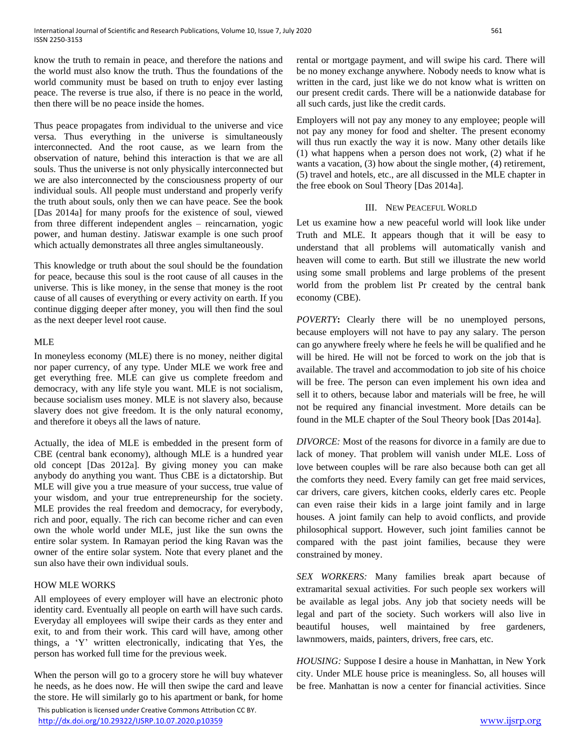know the truth to remain in peace, and therefore the nations and the world must also know the truth. Thus the foundations of the world community must be based on truth to enjoy ever lasting peace. The reverse is true also, if there is no peace in the world, then there will be no peace inside the homes.

Thus peace propagates from individual to the universe and vice versa. Thus everything in the universe is simultaneously interconnected. And the root cause, as we learn from the observation of nature, behind this interaction is that we are all souls. Thus the universe is not only physically interconnected but we are also interconnected by the consciousness property of our individual souls. All people must understand and properly verify the truth about souls, only then we can have peace. See the book [Das 2014a] for many proofs for the existence of soul, viewed from three different independent angles – reincarnation, yogic power, and human destiny. Jatiswar example is one such proof which actually demonstrates all three angles simultaneously.

This knowledge or truth about the soul should be the foundation for peace, because this soul is the root cause of all causes in the universe. This is like money, in the sense that money is the root cause of all causes of everything or every activity on earth. If you continue digging deeper after money, you will then find the soul as the next deeper level root cause.

## MLE

In moneyless economy (MLE) there is no money, neither digital nor paper currency, of any type. Under MLE we work free and get everything free. MLE can give us complete freedom and democracy, with any life style you want. MLE is not socialism, because socialism uses money. MLE is not slavery also, because slavery does not give freedom. It is the only natural economy, and therefore it obeys all the laws of nature.

Actually, the idea of MLE is embedded in the present form of CBE (central bank economy), although MLE is a hundred year old concept [Das 2012a]. By giving money you can make anybody do anything you want. Thus CBE is a dictatorship. But MLE will give you a true measure of your success, true value of your wisdom, and your true entrepreneurship for the society. MLE provides the real freedom and democracy, for everybody, rich and poor, equally. The rich can become richer and can even own the whole world under MLE, just like the sun owns the entire solar system. In Ramayan period the king Ravan was the owner of the entire solar system. Note that every planet and the sun also have their own individual souls.

# HOW MLE WORKS

All employees of every employer will have an electronic photo identity card. Eventually all people on earth will have such cards. Everyday all employees will swipe their cards as they enter and exit, to and from their work. This card will have, among other things, a 'Y' written electronically, indicating that Yes, the person has worked full time for the previous week.

When the person will go to a grocery store he will buy whatever he needs, as he does now. He will then swipe the card and leave the store. He will similarly go to his apartment or bank, for home

 This publication is licensed under Creative Commons Attribution CC BY. <http://dx.doi.org/10.29322/IJSRP.10.07.2020.p10359> [www.ijsrp.org](http://ijsrp.org/)

rental or mortgage payment, and will swipe his card. There will be no money exchange anywhere. Nobody needs to know what is written in the card, just like we do not know what is written on our present credit cards. There will be a nationwide database for all such cards, just like the credit cards.

Employers will not pay any money to any employee; people will not pay any money for food and shelter. The present economy will thus run exactly the way it is now. Many other details like (1) what happens when a person does not work, (2) what if he wants a vacation, (3) how about the single mother, (4) retirement, (5) travel and hotels, etc., are all discussed in the MLE chapter in the free ebook on Soul Theory [Das 2014a].

#### III. NEW PEACEFUL WORLD

Let us examine how a new peaceful world will look like under Truth and MLE. It appears though that it will be easy to understand that all problems will automatically vanish and heaven will come to earth. But still we illustrate the new world using some small problems and large problems of the present world from the problem list Pr created by the central bank economy (CBE).

*POVERTY***:** Clearly there will be no unemployed persons, because employers will not have to pay any salary. The person can go anywhere freely where he feels he will be qualified and he will be hired. He will not be forced to work on the job that is available. The travel and accommodation to job site of his choice will be free. The person can even implement his own idea and sell it to others, because labor and materials will be free, he will not be required any financial investment. More details can be found in the MLE chapter of the Soul Theory book [Das 2014a].

*DIVORCE:* Most of the reasons for divorce in a family are due to lack of money. That problem will vanish under MLE. Loss of love between couples will be rare also because both can get all the comforts they need. Every family can get free maid services, car drivers, care givers, kitchen cooks, elderly cares etc. People can even raise their kids in a large joint family and in large houses. A joint family can help to avoid conflicts, and provide philosophical support. However, such joint families cannot be compared with the past joint families, because they were constrained by money.

*SEX WORKERS:* Many families break apart because of extramarital sexual activities. For such people sex workers will be available as legal jobs. Any job that society needs will be legal and part of the society. Such workers will also live in beautiful houses, well maintained by free gardeners, lawnmowers, maids, painters, drivers, free cars, etc.

*HOUSING:* Suppose I desire a house in Manhattan, in New York city. Under MLE house price is meaningless. So, all houses will be free. Manhattan is now a center for financial activities. Since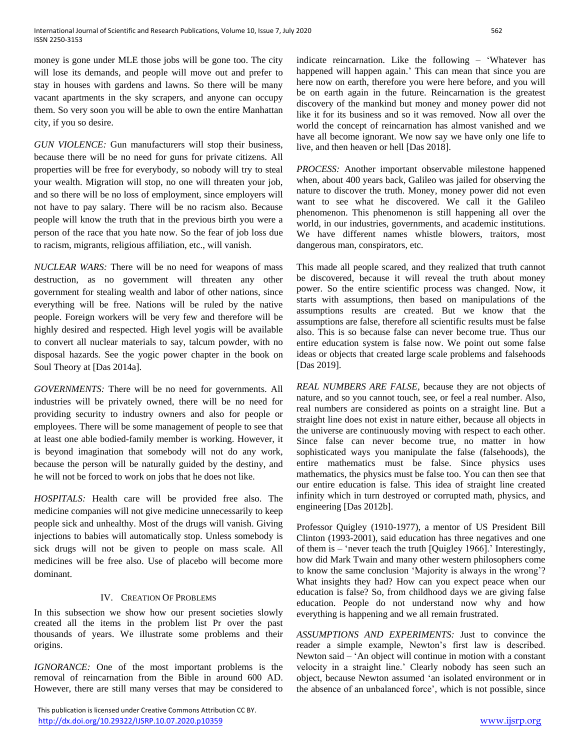money is gone under MLE those jobs will be gone too. The city will lose its demands, and people will move out and prefer to stay in houses with gardens and lawns. So there will be many vacant apartments in the sky scrapers, and anyone can occupy them. So very soon you will be able to own the entire Manhattan city, if you so desire.

*GUN VIOLENCE:* Gun manufacturers will stop their business, because there will be no need for guns for private citizens. All properties will be free for everybody, so nobody will try to steal your wealth. Migration will stop, no one will threaten your job, and so there will be no loss of employment, since employers will not have to pay salary. There will be no racism also. Because people will know the truth that in the previous birth you were a person of the race that you hate now. So the fear of job loss due to racism, migrants, religious affiliation, etc., will vanish.

*NUCLEAR WARS:* There will be no need for weapons of mass destruction, as no government will threaten any other government for stealing wealth and labor of other nations, since everything will be free. Nations will be ruled by the native people. Foreign workers will be very few and therefore will be highly desired and respected. High level yogis will be available to convert all nuclear materials to say, talcum powder, with no disposal hazards. See the yogic power chapter in the book on Soul Theory at [Das 2014a].

*GOVERNMENTS:* There will be no need for governments. All industries will be privately owned, there will be no need for providing security to industry owners and also for people or employees. There will be some management of people to see that at least one able bodied-family member is working. However, it is beyond imagination that somebody will not do any work, because the person will be naturally guided by the destiny, and he will not be forced to work on jobs that he does not like.

*HOSPITALS:* Health care will be provided free also. The medicine companies will not give medicine unnecessarily to keep people sick and unhealthy. Most of the drugs will vanish. Giving injections to babies will automatically stop. Unless somebody is sick drugs will not be given to people on mass scale. All medicines will be free also. Use of placebo will become more dominant.

#### IV. CREATION OF PROBLEMS

In this subsection we show how our present societies slowly created all the items in the problem list Pr over the past thousands of years. We illustrate some problems and their origins.

*IGNORANCE:* One of the most important problems is the removal of reincarnation from the Bible in around 600 AD. However, there are still many verses that may be considered to

 This publication is licensed under Creative Commons Attribution CC BY. <http://dx.doi.org/10.29322/IJSRP.10.07.2020.p10359> [www.ijsrp.org](http://ijsrp.org/)

indicate reincarnation. Like the following – 'Whatever has happened will happen again.' This can mean that since you are here now on earth, therefore you were here before, and you will be on earth again in the future. Reincarnation is the greatest discovery of the mankind but money and money power did not like it for its business and so it was removed. Now all over the world the concept of reincarnation has almost vanished and we have all become ignorant. We now say we have only one life to live, and then heaven or hell [Das 2018].

*PROCESS:* Another important observable milestone happened when, about 400 years back, Galileo was jailed for observing the nature to discover the truth. Money, money power did not even want to see what he discovered. We call it the Galileo phenomenon. This phenomenon is still happening all over the world, in our industries, governments, and academic institutions. We have different names whistle blowers, traitors, most dangerous man, conspirators, etc.

This made all people scared, and they realized that truth cannot be discovered, because it will reveal the truth about money power. So the entire scientific process was changed. Now, it starts with assumptions, then based on manipulations of the assumptions results are created. But we know that the assumptions are false, therefore all scientific results must be false also. This is so because false can never become true. Thus our entire education system is false now. We point out some false ideas or objects that created large scale problems and falsehoods [Das 2019].

*REAL NUMBERS ARE FALSE,* because they are not objects of nature, and so you cannot touch, see, or feel a real number. Also, real numbers are considered as points on a straight line. But a straight line does not exist in nature either, because all objects in the universe are continuously moving with respect to each other. Since false can never become true, no matter in how sophisticated ways you manipulate the false (falsehoods), the entire mathematics must be false. Since physics uses mathematics, the physics must be false too. You can then see that our entire education is false. This idea of straight line created infinity which in turn destroyed or corrupted math, physics, and engineering [Das 2012b].

Professor Quigley (1910-1977), a mentor of US President Bill Clinton (1993-2001), said education has three negatives and one of them is – 'never teach the truth [Quigley 1966].' Interestingly, how did Mark Twain and many other western philosophers come to know the same conclusion 'Majority is always in the wrong'? What insights they had? How can you expect peace when our education is false? So, from childhood days we are giving false education. People do not understand now why and how everything is happening and we all remain frustrated.

*ASSUMPTIONS AND EXPERIMENTS:* Just to convince the reader a simple example, Newton's first law is described. Newton said – 'An object will continue in motion with a constant velocity in a straight line.' Clearly nobody has seen such an object, because Newton assumed 'an isolated environment or in the absence of an unbalanced force', which is not possible, since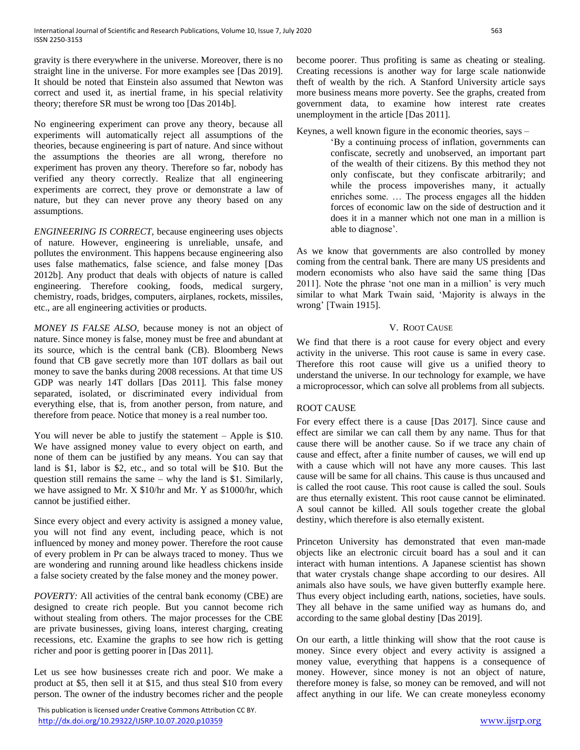gravity is there everywhere in the universe. Moreover, there is no straight line in the universe. For more examples see [Das 2019]. It should be noted that Einstein also assumed that Newton was correct and used it, as inertial frame, in his special relativity theory; therefore SR must be wrong too [Das 2014b].

No engineering experiment can prove any theory, because all experiments will automatically reject all assumptions of the theories, because engineering is part of nature. And since without the assumptions the theories are all wrong, therefore no experiment has proven any theory. Therefore so far, nobody has verified any theory correctly. Realize that all engineering experiments are correct, they prove or demonstrate a law of nature, but they can never prove any theory based on any assumptions.

*ENGINEERING IS CORRECT,* because engineering uses objects of nature. However, engineering is unreliable, unsafe, and pollutes the environment. This happens because engineering also uses false mathematics, false science, and false money [Das 2012b]. Any product that deals with objects of nature is called engineering. Therefore cooking, foods, medical surgery, chemistry, roads, bridges, computers, airplanes, rockets, missiles, etc., are all engineering activities or products.

*MONEY IS FALSE ALSO,* because money is not an object of nature. Since money is false, money must be free and abundant at its source, which is the central bank (CB). Bloomberg News found that CB gave secretly more than 10T dollars as bail out money to save the banks during 2008 recessions. At that time US GDP was nearly 14T dollars [Das 2011]. This false money separated, isolated, or discriminated every individual from everything else, that is, from another person, from nature, and therefore from peace. Notice that money is a real number too.

You will never be able to justify the statement – Apple is \$10. We have assigned money value to every object on earth, and none of them can be justified by any means. You can say that land is \$1, labor is \$2, etc., and so total will be \$10. But the question still remains the same – why the land is \$1. Similarly, we have assigned to Mr. X \$10/hr and Mr. Y as \$1000/hr, which cannot be justified either.

Since every object and every activity is assigned a money value, you will not find any event, including peace, which is not influenced by money and money power. Therefore the root cause of every problem in Pr can be always traced to money. Thus we are wondering and running around like headless chickens inside a false society created by the false money and the money power.

*POVERTY:* All activities of the central bank economy (CBE) are designed to create rich people. But you cannot become rich without stealing from others. The major processes for the CBE are private businesses, giving loans, interest charging, creating recessions, etc. Examine the graphs to see how rich is getting richer and poor is getting poorer in [Das 2011].

Let us see how businesses create rich and poor. We make a product at \$5, then sell it at \$15, and thus steal \$10 from every person. The owner of the industry becomes richer and the people

 This publication is licensed under Creative Commons Attribution CC BY. <http://dx.doi.org/10.29322/IJSRP.10.07.2020.p10359> [www.ijsrp.org](http://ijsrp.org/)

become poorer. Thus profiting is same as cheating or stealing. Creating recessions is another way for large scale nationwide theft of wealth by the rich. A Stanford University article says more business means more poverty. See the graphs, created from government data, to examine how interest rate creates unemployment in the article [Das 2011].

Keynes, a well known figure in the economic theories, says –

'By a continuing process of inflation, governments can confiscate, secretly and unobserved, an important part of the wealth of their citizens. By this method they not only confiscate, but they confiscate arbitrarily; and while the process impoverishes many, it actually enriches some. … The process engages all the hidden forces of economic law on the side of destruction and it does it in a manner which not one man in a million is able to diagnose'.

As we know that governments are also controlled by money coming from the central bank. There are many US presidents and modern economists who also have said the same thing [Das 2011]. Note the phrase 'not one man in a million' is very much similar to what Mark Twain said, 'Majority is always in the wrong' [Twain 1915].

# V. ROOT CAUSE

We find that there is a root cause for every object and every activity in the universe. This root cause is same in every case. Therefore this root cause will give us a unified theory to understand the universe. In our technology for example, we have a microprocessor, which can solve all problems from all subjects.

# ROOT CAUSE

For every effect there is a cause [Das 2017]. Since cause and effect are similar we can call them by any name. Thus for that cause there will be another cause. So if we trace any chain of cause and effect, after a finite number of causes, we will end up with a cause which will not have any more causes. This last cause will be same for all chains. This cause is thus uncaused and is called the root cause. This root cause is called the soul. Souls are thus eternally existent. This root cause cannot be eliminated. A soul cannot be killed. All souls together create the global destiny, which therefore is also eternally existent.

Princeton University has demonstrated that even man-made objects like an electronic circuit board has a soul and it can interact with human intentions. A Japanese scientist has shown that water crystals change shape according to our desires. All animals also have souls, we have given butterfly example here. Thus every object including earth, nations, societies, have souls. They all behave in the same unified way as humans do, and according to the same global destiny [Das 2019].

On our earth, a little thinking will show that the root cause is money. Since every object and every activity is assigned a money value, everything that happens is a consequence of money. However, since money is not an object of nature, therefore money is false, so money can be removed, and will not affect anything in our life. We can create moneyless economy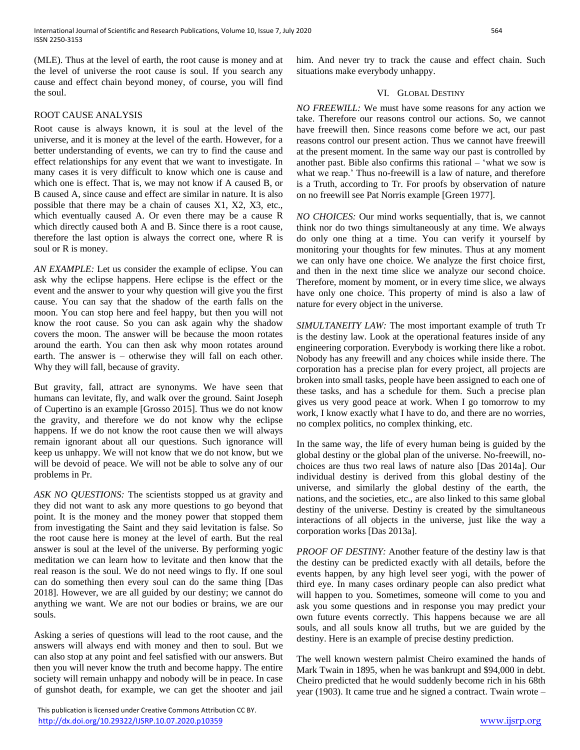(MLE). Thus at the level of earth, the root cause is money and at the level of universe the root cause is soul. If you search any cause and effect chain beyond money, of course, you will find the soul.

## ROOT CAUSE ANALYSIS

Root cause is always known, it is soul at the level of the universe, and it is money at the level of the earth. However, for a better understanding of events, we can try to find the cause and effect relationships for any event that we want to investigate. In many cases it is very difficult to know which one is cause and which one is effect. That is, we may not know if A caused B, or B caused A, since cause and effect are similar in nature. It is also possible that there may be a chain of causes X1, X2, X3, etc., which eventually caused A. Or even there may be a cause R which directly caused both A and B. Since there is a root cause, therefore the last option is always the correct one, where R is soul or R is money.

*AN EXAMPLE:* Let us consider the example of eclipse. You can ask why the eclipse happens. Here eclipse is the effect or the event and the answer to your why question will give you the first cause. You can say that the shadow of the earth falls on the moon. You can stop here and feel happy, but then you will not know the root cause. So you can ask again why the shadow covers the moon. The answer will be because the moon rotates around the earth. You can then ask why moon rotates around earth. The answer is – otherwise they will fall on each other. Why they will fall, because of gravity.

But gravity, fall, attract are synonyms. We have seen that humans can levitate, fly, and walk over the ground. Saint Joseph of Cupertino is an example [Grosso 2015]. Thus we do not know the gravity, and therefore we do not know why the eclipse happens. If we do not know the root cause then we will always remain ignorant about all our questions. Such ignorance will keep us unhappy. We will not know that we do not know, but we will be devoid of peace. We will not be able to solve any of our problems in Pr.

*ASK NO QUESTIONS:* The scientists stopped us at gravity and they did not want to ask any more questions to go beyond that point. It is the money and the money power that stopped them from investigating the Saint and they said levitation is false. So the root cause here is money at the level of earth. But the real answer is soul at the level of the universe. By performing yogic meditation we can learn how to levitate and then know that the real reason is the soul. We do not need wings to fly. If one soul can do something then every soul can do the same thing [Das 2018]. However, we are all guided by our destiny; we cannot do anything we want. We are not our bodies or brains, we are our souls.

Asking a series of questions will lead to the root cause, and the answers will always end with money and then to soul. But we can also stop at any point and feel satisfied with our answers. But then you will never know the truth and become happy. The entire society will remain unhappy and nobody will be in peace. In case of gunshot death, for example, we can get the shooter and jail

 This publication is licensed under Creative Commons Attribution CC BY. <http://dx.doi.org/10.29322/IJSRP.10.07.2020.p10359> [www.ijsrp.org](http://ijsrp.org/)

him. And never try to track the cause and effect chain. Such situations make everybody unhappy.

## VI. GLOBAL DESTINY

*NO FREEWILL:* We must have some reasons for any action we take. Therefore our reasons control our actions. So, we cannot have freewill then. Since reasons come before we act, our past reasons control our present action. Thus we cannot have freewill at the present moment. In the same way our past is controlled by another past. Bible also confirms this rational  $-$  'what we sow is what we reap.' Thus no-freewill is a law of nature, and therefore is a Truth, according to Tr. For proofs by observation of nature on no freewill see Pat Norris example [Green 1977].

*NO CHOICES:* Our mind works sequentially, that is, we cannot think nor do two things simultaneously at any time. We always do only one thing at a time. You can verify it yourself by monitoring your thoughts for few minutes. Thus at any moment we can only have one choice. We analyze the first choice first, and then in the next time slice we analyze our second choice. Therefore, moment by moment, or in every time slice, we always have only one choice. This property of mind is also a law of nature for every object in the universe.

*SIMULTANEITY LAW:* The most important example of truth Tr is the destiny law. Look at the operational features inside of any engineering corporation. Everybody is working there like a robot. Nobody has any freewill and any choices while inside there. The corporation has a precise plan for every project, all projects are broken into small tasks, people have been assigned to each one of these tasks, and has a schedule for them. Such a precise plan gives us very good peace at work. When I go tomorrow to my work, I know exactly what I have to do, and there are no worries, no complex politics, no complex thinking, etc.

In the same way, the life of every human being is guided by the global destiny or the global plan of the universe. No-freewill, nochoices are thus two real laws of nature also [Das 2014a]. Our individual destiny is derived from this global destiny of the universe, and similarly the global destiny of the earth, the nations, and the societies, etc., are also linked to this same global destiny of the universe. Destiny is created by the simultaneous interactions of all objects in the universe, just like the way a corporation works [Das 2013a].

*PROOF OF DESTINY:* Another feature of the destiny law is that the destiny can be predicted exactly with all details, before the events happen, by any high level seer yogi, with the power of third eye. In many cases ordinary people can also predict what will happen to you. Sometimes, someone will come to you and ask you some questions and in response you may predict your own future events correctly. This happens because we are all souls, and all souls know all truths, but we are guided by the destiny. Here is an example of precise destiny prediction.

The well known western palmist Cheiro examined the hands of Mark Twain in 1895, when he was bankrupt and \$94,000 in debt. Cheiro predicted that he would suddenly become rich in his 68th year (1903). It came true and he signed a contract. Twain wrote –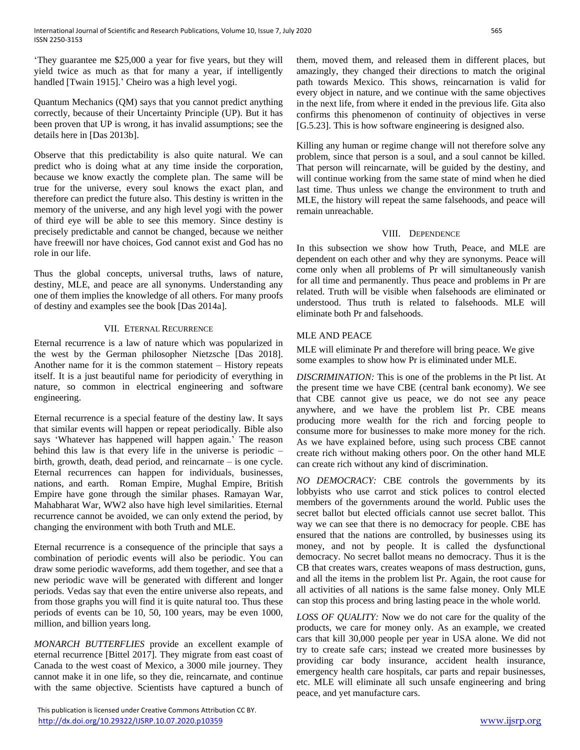'They guarantee me \$25,000 a year for five years, but they will yield twice as much as that for many a year, if intelligently handled [Twain 1915].' Cheiro was a high level yogi.

Quantum Mechanics (QM) says that you cannot predict anything correctly, because of their Uncertainty Principle (UP). But it has been proven that UP is wrong, it has invalid assumptions; see the details here in [Das 2013b].

Observe that this predictability is also quite natural. We can predict who is doing what at any time inside the corporation, because we know exactly the complete plan. The same will be true for the universe, every soul knows the exact plan, and therefore can predict the future also. This destiny is written in the memory of the universe, and any high level yogi with the power of third eye will be able to see this memory. Since destiny is precisely predictable and cannot be changed, because we neither have freewill nor have choices, God cannot exist and God has no role in our life.

Thus the global concepts, universal truths, laws of nature, destiny, MLE, and peace are all synonyms. Understanding any one of them implies the knowledge of all others. For many proofs of destiny and examples see the book [Das 2014a].

# VII. ETERNAL RECURRENCE

Eternal recurrence is a law of nature which was popularized in the west by the German philosopher Nietzsche [Das 2018]. Another name for it is the common statement – History repeats itself. It is a just beautiful name for periodicity of everything in nature, so common in electrical engineering and software engineering.

Eternal recurrence is a special feature of the destiny law. It says that similar events will happen or repeat periodically. Bible also says 'Whatever has happened will happen again.' The reason behind this law is that every life in the universe is periodic – birth, growth, death, dead period, and reincarnate – is one cycle. Eternal recurrences can happen for individuals, businesses, nations, and earth. Roman Empire, Mughal Empire, British Empire have gone through the similar phases. Ramayan War, Mahabharat War, WW2 also have high level similarities. Eternal recurrence cannot be avoided, we can only extend the period, by changing the environment with both Truth and MLE.

Eternal recurrence is a consequence of the principle that says a combination of periodic events will also be periodic. You can draw some periodic waveforms, add them together, and see that a new periodic wave will be generated with different and longer periods. Vedas say that even the entire universe also repeats, and from those graphs you will find it is quite natural too. Thus these periods of events can be 10, 50, 100 years, may be even 1000, million, and billion years long.

*MONARCH BUTTERFLIES* provide an excellent example of eternal recurrence [Bittel 2017]. They migrate from east coast of Canada to the west coast of Mexico, a 3000 mile journey. They cannot make it in one life, so they die, reincarnate, and continue with the same objective. Scientists have captured a bunch of

 This publication is licensed under Creative Commons Attribution CC BY. <http://dx.doi.org/10.29322/IJSRP.10.07.2020.p10359> [www.ijsrp.org](http://ijsrp.org/)

them, moved them, and released them in different places, but amazingly, they changed their directions to match the original path towards Mexico. This shows, reincarnation is valid for every object in nature, and we continue with the same objectives in the next life, from where it ended in the previous life. Gita also confirms this phenomenon of continuity of objectives in verse [G.5.23]. This is how software engineering is designed also.

Killing any human or regime change will not therefore solve any problem, since that person is a soul, and a soul cannot be killed. That person will reincarnate, will be guided by the destiny, and will continue working from the same state of mind when he died last time. Thus unless we change the environment to truth and MLE, the history will repeat the same falsehoods, and peace will remain unreachable.

## VIII. DEPENDENCE

In this subsection we show how Truth, Peace, and MLE are dependent on each other and why they are synonyms. Peace will come only when all problems of Pr will simultaneously vanish for all time and permanently. Thus peace and problems in Pr are related. Truth will be visible when falsehoods are eliminated or understood. Thus truth is related to falsehoods. MLE will eliminate both Pr and falsehoods.

# MLE AND PEACE

MLE will eliminate Pr and therefore will bring peace. We give some examples to show how Pr is eliminated under MLE.

*DISCRIMINATION:* This is one of the problems in the Pt list. At the present time we have CBE (central bank economy). We see that CBE cannot give us peace, we do not see any peace anywhere, and we have the problem list Pr. CBE means producing more wealth for the rich and forcing people to consume more for businesses to make more money for the rich. As we have explained before, using such process CBE cannot create rich without making others poor. On the other hand MLE can create rich without any kind of discrimination.

*NO DEMOCRACY:* CBE controls the governments by its lobbyists who use carrot and stick polices to control elected members of the governments around the world. Public uses the secret ballot but elected officials cannot use secret ballot. This way we can see that there is no democracy for people. CBE has ensured that the nations are controlled, by businesses using its money, and not by people. It is called the dysfunctional democracy. No secret ballot means no democracy. Thus it is the CB that creates wars, creates weapons of mass destruction, guns, and all the items in the problem list Pr. Again, the root cause for all activities of all nations is the same false money. Only MLE can stop this process and bring lasting peace in the whole world.

*LOSS OF QUALITY:* Now we do not care for the quality of the products, we care for money only. As an example, we created cars that kill 30,000 people per year in USA alone. We did not try to create safe cars; instead we created more businesses by providing car body insurance, accident health insurance, emergency health care hospitals, car parts and repair businesses, etc. MLE will eliminate all such unsafe engineering and bring peace, and yet manufacture cars.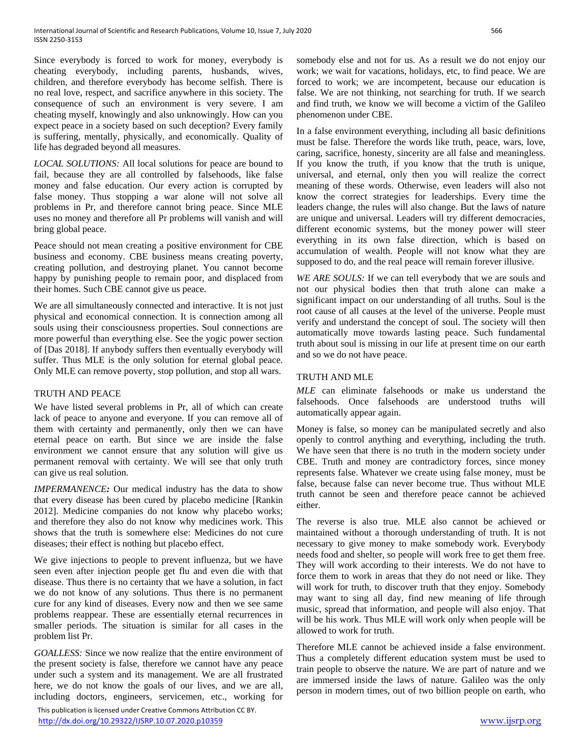Since everybody is forced to work for money, everybody is cheating everybody, including parents, husbands, wives, children, and therefore everybody has become selfish. There is no real love, respect, and sacrifice anywhere in this society. The consequence of such an environment is very severe. I am cheating myself, knowingly and also unknowingly. How can you expect peace in a society based on such deception? Every family is suffering, mentally, physically, and economically. Quality of life has degraded beyond all measures.

*LOCAL SOLUTIONS:* All local solutions for peace are bound to fail, because they are all controlled by falsehoods, like false money and false education. Our every action is corrupted by false money. Thus stopping a war alone will not solve all problems in Pr, and therefore cannot bring peace. Since MLE uses no money and therefore all Pr problems will vanish and will bring global peace.

Peace should not mean creating a positive environment for CBE business and economy. CBE business means creating poverty, creating pollution, and destroying planet. You cannot become happy by punishing people to remain poor, and displaced from their homes. Such CBE cannot give us peace.

We are all simultaneously connected and interactive. It is not just physical and economical connection. It is connection among all souls using their consciousness properties. Soul connections are more powerful than everything else. See the yogic power section of [Das 2018]. If anybody suffers then eventually everybody will suffer. Thus MLE is the only solution for eternal global peace. Only MLE can remove poverty, stop pollution, and stop all wars.

# TRUTH AND PEACE

We have listed several problems in Pr, all of which can create lack of peace to anyone and everyone. If you can remove all of them with certainty and permanently, only then we can have eternal peace on earth. But since we are inside the false environment we cannot ensure that any solution will give us permanent removal with certainty. We will see that only truth can give us real solution.

*IMPERMANENCE:* Our medical industry has the data to show that every disease has been cured by placebo medicine [Rankin 2012]. Medicine companies do not know why placebo works; and therefore they also do not know why medicines work. This shows that the truth is somewhere else: Medicines do not cure diseases; their effect is nothing but placebo effect.

We give injections to people to prevent influenza, but we have seen even after injection people get flu and even die with that disease. Thus there is no certainty that we have a solution, in fact we do not know of any solutions. Thus there is no permanent cure for any kind of diseases. Every now and then we see same problems reappear. These are essentially eternal recurrences in smaller periods. The situation is similar for all cases in the problem list Pr.

*GOALLESS:* Since we now realize that the entire environment of the present society is false, therefore we cannot have any peace under such a system and its management. We are all frustrated here, we do not know the goals of our lives, and we are all, including doctors, engineers, servicemen, etc., working for

 This publication is licensed under Creative Commons Attribution CC BY. <http://dx.doi.org/10.29322/IJSRP.10.07.2020.p10359> [www.ijsrp.org](http://ijsrp.org/)

somebody else and not for us. As a result we do not enjoy our work; we wait for vacations, holidays, etc, to find peace. We are forced to work; we are incompetent, because our education is false. We are not thinking, not searching for truth. If we search and find truth, we know we will become a victim of the Galileo phenomenon under CBE.

In a false environment everything, including all basic definitions must be false. Therefore the words like truth, peace, wars, love, caring, sacrifice, honesty, sincerity are all false and meaningless. If you know the truth, if you know that the truth is unique, universal, and eternal, only then you will realize the correct meaning of these words. Otherwise, even leaders will also not know the correct strategies for leaderships. Every time the leaders change, the rules will also change. But the laws of nature are unique and universal. Leaders will try different democracies, different economic systems, but the money power will steer everything in its own false direction, which is based on accumulation of wealth. People will not know what they are supposed to do, and the real peace will remain forever illusive.

*WE ARE SOULS:* If we can tell everybody that we are souls and not our physical bodies then that truth alone can make a significant impact on our understanding of all truths. Soul is the root cause of all causes at the level of the universe. People must verify and understand the concept of soul. The society will then automatically move towards lasting peace. Such fundamental truth about soul is missing in our life at present time on our earth and so we do not have peace.

## TRUTH AND MLE

*MLE* can eliminate falsehoods or make us understand the falsehoods. Once falsehoods are understood truths will automatically appear again.

Money is false, so money can be manipulated secretly and also openly to control anything and everything, including the truth. We have seen that there is no truth in the modern society under CBE. Truth and money are contradictory forces, since money represents false. Whatever we create using false money, must be false, because false can never become true. Thus without MLE truth cannot be seen and therefore peace cannot be achieved either.

The reverse is also true. MLE also cannot be achieved or maintained without a thorough understanding of truth. It is not necessary to give money to make somebody work. Everybody needs food and shelter, so people will work free to get them free. They will work according to their interests. We do not have to force them to work in areas that they do not need or like. They will work for truth, to discover truth that they enjoy. Somebody may want to sing all day, find new meaning of life through music, spread that information, and people will also enjoy. That will be his work. Thus MLE will work only when people will be allowed to work for truth.

Therefore MLE cannot be achieved inside a false environment. Thus a completely different education system must be used to train people to observe the nature. We are part of nature and we are immersed inside the laws of nature. Galileo was the only person in modern times, out of two billion people on earth, who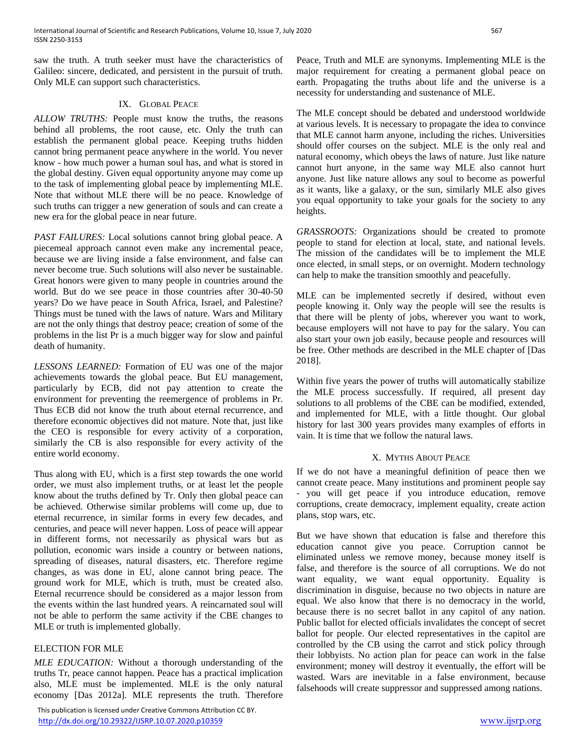saw the truth. A truth seeker must have the characteristics of Galileo: sincere, dedicated, and persistent in the pursuit of truth. Only MLE can support such characteristics.

## IX. GLOBAL PEACE

*ALLOW TRUTHS:* People must know the truths, the reasons behind all problems, the root cause, etc. Only the truth can establish the permanent global peace. Keeping truths hidden cannot bring permanent peace anywhere in the world. You never know - how much power a human soul has, and what is stored in the global destiny. Given equal opportunity anyone may come up to the task of implementing global peace by implementing MLE. Note that without MLE there will be no peace. Knowledge of such truths can trigger a new generation of souls and can create a new era for the global peace in near future.

*PAST FAILURES:* Local solutions cannot bring global peace. A piecemeal approach cannot even make any incremental peace, because we are living inside a false environment, and false can never become true. Such solutions will also never be sustainable. Great honors were given to many people in countries around the world. But do we see peace in those countries after 30-40-50 years? Do we have peace in South Africa, Israel, and Palestine? Things must be tuned with the laws of nature. Wars and Military are not the only things that destroy peace; creation of some of the problems in the list Pr is a much bigger way for slow and painful death of humanity.

*LESSONS LEARNED:* Formation of EU was one of the major achievements towards the global peace. But EU management, particularly by ECB, did not pay attention to create the environment for preventing the reemergence of problems in Pr. Thus ECB did not know the truth about eternal recurrence, and therefore economic objectives did not mature. Note that, just like the CEO is responsible for every activity of a corporation, similarly the CB is also responsible for every activity of the entire world economy.

Thus along with EU, which is a first step towards the one world order, we must also implement truths, or at least let the people know about the truths defined by Tr. Only then global peace can be achieved. Otherwise similar problems will come up, due to eternal recurrence, in similar forms in every few decades, and centuries, and peace will never happen. Loss of peace will appear in different forms, not necessarily as physical wars but as pollution, economic wars inside a country or between nations, spreading of diseases, natural disasters, etc. Therefore regime changes, as was done in EU, alone cannot bring peace. The ground work for MLE, which is truth, must be created also. Eternal recurrence should be considered as a major lesson from the events within the last hundred years. A reincarnated soul will not be able to perform the same activity if the CBE changes to MLE or truth is implemented globally.

# ELECTION FOR MLE

*MLE EDUCATION:* Without a thorough understanding of the truths Tr, peace cannot happen. Peace has a practical implication also, MLE must be implemented. MLE is the only natural economy [Das 2012a]. MLE represents the truth. Therefore

 This publication is licensed under Creative Commons Attribution CC BY. <http://dx.doi.org/10.29322/IJSRP.10.07.2020.p10359> [www.ijsrp.org](http://ijsrp.org/)

Peace, Truth and MLE are synonyms. Implementing MLE is the major requirement for creating a permanent global peace on earth. Propagating the truths about life and the universe is a necessity for understanding and sustenance of MLE.

The MLE concept should be debated and understood worldwide at various levels. It is necessary to propagate the idea to convince that MLE cannot harm anyone, including the riches. Universities should offer courses on the subject. MLE is the only real and natural economy, which obeys the laws of nature. Just like nature cannot hurt anyone, in the same way MLE also cannot hurt anyone. Just like nature allows any soul to become as powerful as it wants, like a galaxy, or the sun, similarly MLE also gives you equal opportunity to take your goals for the society to any heights.

*GRASSROOTS:* Organizations should be created to promote people to stand for election at local, state, and national levels. The mission of the candidates will be to implement the MLE once elected, in small steps, or on overnight. Modern technology can help to make the transition smoothly and peacefully.

MLE can be implemented secretly if desired, without even people knowing it. Only way the people will see the results is that there will be plenty of jobs, wherever you want to work, because employers will not have to pay for the salary. You can also start your own job easily, because people and resources will be free. Other methods are described in the MLE chapter of [Das 2018].

Within five years the power of truths will automatically stabilize the MLE process successfully. If required, all present day solutions to all problems of the CBE can be modified, extended, and implemented for MLE, with a little thought. Our global history for last 300 years provides many examples of efforts in vain. It is time that we follow the natural laws.

#### X. MYTHS ABOUT PEACE

If we do not have a meaningful definition of peace then we cannot create peace. Many institutions and prominent people say - you will get peace if you introduce education, remove corruptions, create democracy, implement equality, create action plans, stop wars, etc.

But we have shown that education is false and therefore this education cannot give you peace. Corruption cannot be eliminated unless we remove money, because money itself is false, and therefore is the source of all corruptions. We do not want equality, we want equal opportunity. Equality is discrimination in disguise, because no two objects in nature are equal. We also know that there is no democracy in the world, because there is no secret ballot in any capitol of any nation. Public ballot for elected officials invalidates the concept of secret ballot for people. Our elected representatives in the capitol are controlled by the CB using the carrot and stick policy through their lobbyists. No action plan for peace can work in the false environment; money will destroy it eventually, the effort will be wasted. Wars are inevitable in a false environment, because falsehoods will create suppressor and suppressed among nations.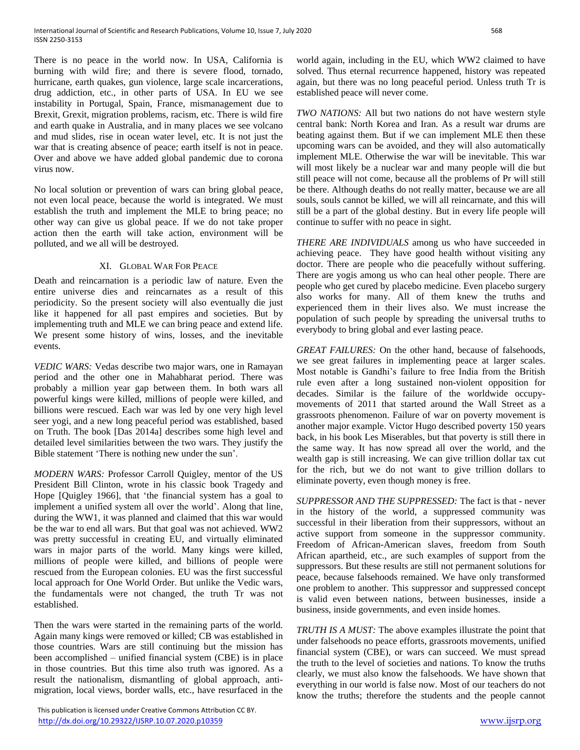There is no peace in the world now. In USA, California is burning with wild fire; and there is severe flood, tornado, hurricane, earth quakes, gun violence, large scale incarcerations, drug addiction, etc., in other parts of USA. In EU we see instability in Portugal, Spain, France, mismanagement due to Brexit, Grexit, migration problems, racism, etc. There is wild fire and earth quake in Australia, and in many places we see volcano and mud slides, rise in ocean water level, etc. It is not just the war that is creating absence of peace; earth itself is not in peace. Over and above we have added global pandemic due to corona virus now.

No local solution or prevention of wars can bring global peace, not even local peace, because the world is integrated. We must establish the truth and implement the MLE to bring peace; no other way can give us global peace. If we do not take proper action then the earth will take action, environment will be polluted, and we all will be destroyed.

## XI. GLOBAL WAR FOR PEACE

Death and reincarnation is a periodic law of nature. Even the entire universe dies and reincarnates as a result of this periodicity. So the present society will also eventually die just like it happened for all past empires and societies. But by implementing truth and MLE we can bring peace and extend life. We present some history of wins, losses, and the inevitable events.

*VEDIC WARS:* Vedas describe two major wars, one in Ramayan period and the other one in Mahabharat period. There was probably a million year gap between them. In both wars all powerful kings were killed, millions of people were killed, and billions were rescued. Each war was led by one very high level seer yogi, and a new long peaceful period was established, based on Truth. The book [Das 2014a] describes some high level and detailed level similarities between the two wars. They justify the Bible statement 'There is nothing new under the sun'.

*MODERN WARS:* Professor Carroll Quigley, mentor of the US President Bill Clinton, wrote in his classic book Tragedy and Hope [Quigley 1966], that 'the financial system has a goal to implement a unified system all over the world'. Along that line, during the WW1, it was planned and claimed that this war would be the war to end all wars. But that goal was not achieved. WW2 was pretty successful in creating EU, and virtually eliminated wars in major parts of the world. Many kings were killed, millions of people were killed, and billions of people were rescued from the European colonies. EU was the first successful local approach for One World Order. But unlike the Vedic wars, the fundamentals were not changed, the truth Tr was not established.

Then the wars were started in the remaining parts of the world. Again many kings were removed or killed; CB was established in those countries. Wars are still continuing but the mission has been accomplished – unified financial system (CBE) is in place in those countries. But this time also truth was ignored. As a result the nationalism, dismantling of global approach, antimigration, local views, border walls, etc., have resurfaced in the

 This publication is licensed under Creative Commons Attribution CC BY. <http://dx.doi.org/10.29322/IJSRP.10.07.2020.p10359> [www.ijsrp.org](http://ijsrp.org/)

world again, including in the EU, which WW2 claimed to have solved. Thus eternal recurrence happened, history was repeated again, but there was no long peaceful period. Unless truth Tr is established peace will never come.

*TWO NATIONS:* All but two nations do not have western style central bank: North Korea and Iran. As a result war drums are beating against them. But if we can implement MLE then these upcoming wars can be avoided, and they will also automatically implement MLE. Otherwise the war will be inevitable. This war will most likely be a nuclear war and many people will die but still peace will not come, because all the problems of Pr will still be there. Although deaths do not really matter, because we are all souls, souls cannot be killed, we will all reincarnate, and this will still be a part of the global destiny. But in every life people will continue to suffer with no peace in sight.

*THERE ARE INDIVIDUALS* among us who have succeeded in achieving peace. They have good health without visiting any doctor. There are people who die peacefully without suffering. There are yogis among us who can heal other people. There are people who get cured by placebo medicine. Even placebo surgery also works for many. All of them knew the truths and experienced them in their lives also. We must increase the population of such people by spreading the universal truths to everybody to bring global and ever lasting peace.

*GREAT FAILURES:* On the other hand, because of falsehoods, we see great failures in implementing peace at larger scales. Most notable is Gandhi's failure to free India from the British rule even after a long sustained non-violent opposition for decades. Similar is the failure of the worldwide occupymovements of 2011 that started around the Wall Street as a grassroots phenomenon. Failure of war on poverty movement is another major example. Victor Hugo described poverty 150 years back, in his book Les Miserables, but that poverty is still there in the same way. It has now spread all over the world, and the wealth gap is still increasing. We can give trillion dollar tax cut for the rich, but we do not want to give trillion dollars to eliminate poverty, even though money is free.

*SUPPRESSOR AND THE SUPPRESSED:* The fact is that - never in the history of the world, a suppressed community was successful in their liberation from their suppressors, without an active support from someone in the suppressor community. Freedom of African-American slaves, freedom from South African apartheid, etc., are such examples of support from the suppressors. But these results are still not permanent solutions for peace, because falsehoods remained. We have only transformed one problem to another. This suppressor and suppressed concept is valid even between nations, between businesses, inside a business, inside governments, and even inside homes.

*TRUTH IS A MUST:* The above examples illustrate the point that under falsehoods no peace efforts, grassroots movements, unified financial system (CBE), or wars can succeed. We must spread the truth to the level of societies and nations. To know the truths clearly, we must also know the falsehoods. We have shown that everything in our world is false now. Most of our teachers do not know the truths; therefore the students and the people cannot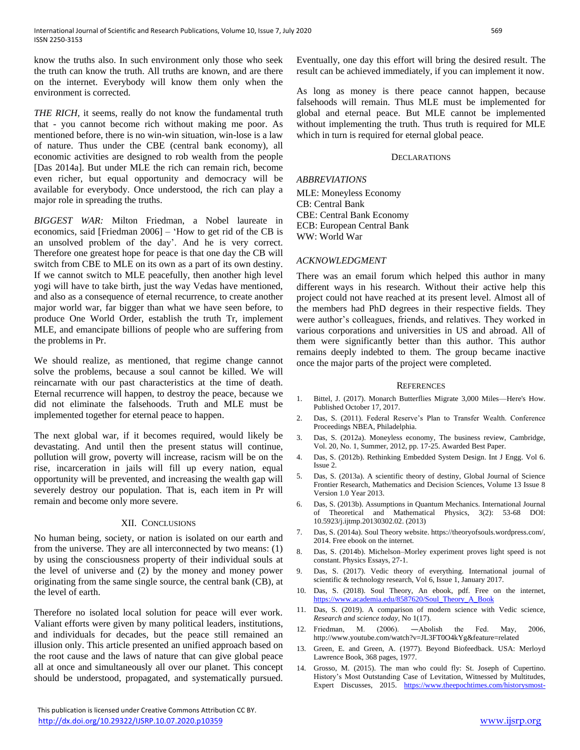know the truths also. In such environment only those who seek the truth can know the truth. All truths are known, and are there on the internet. Everybody will know them only when the environment is corrected.

*THE RICH,* it seems, really do not know the fundamental truth that - you cannot become rich without making me poor. As mentioned before, there is no win-win situation, win-lose is a law of nature. Thus under the CBE (central bank economy), all economic activities are designed to rob wealth from the people [Das 2014a]. But under MLE the rich can remain rich, become even richer, but equal opportunity and democracy will be available for everybody. Once understood, the rich can play a major role in spreading the truths.

*BIGGEST WAR:* Milton Friedman, a Nobel laureate in economics, said [Friedman 2006] – 'How to get rid of the CB is an unsolved problem of the day'. And he is very correct. Therefore one greatest hope for peace is that one day the CB will switch from CBE to MLE on its own as a part of its own destiny. If we cannot switch to MLE peacefully, then another high level yogi will have to take birth, just the way Vedas have mentioned, and also as a consequence of eternal recurrence, to create another major world war, far bigger than what we have seen before, to produce One World Order, establish the truth Tr, implement MLE, and emancipate billions of people who are suffering from the problems in Pr.

We should realize, as mentioned, that regime change cannot solve the problems, because a soul cannot be killed. We will reincarnate with our past characteristics at the time of death. Eternal recurrence will happen, to destroy the peace, because we did not eliminate the falsehoods. Truth and MLE must be implemented together for eternal peace to happen.

The next global war, if it becomes required, would likely be devastating. And until then the present status will continue, pollution will grow, poverty will increase, racism will be on the rise, incarceration in jails will fill up every nation, equal opportunity will be prevented, and increasing the wealth gap will severely destroy our population. That is, each item in Pr will remain and become only more severe.

#### XII. CONCLUSIONS

No human being, society, or nation is isolated on our earth and from the universe. They are all interconnected by two means: (1) by using the consciousness property of their individual souls at the level of universe and (2) by the money and money power originating from the same single source, the central bank (CB), at the level of earth.

Therefore no isolated local solution for peace will ever work. Valiant efforts were given by many political leaders, institutions, and individuals for decades, but the peace still remained an illusion only. This article presented an unified approach based on the root cause and the laws of nature that can give global peace all at once and simultaneously all over our planet. This concept should be understood, propagated, and systematically pursued.

 This publication is licensed under Creative Commons Attribution CC BY. <http://dx.doi.org/10.29322/IJSRP.10.07.2020.p10359> [www.ijsrp.org](http://ijsrp.org/)

Eventually, one day this effort will bring the desired result. The result can be achieved immediately, if you can implement it now.

As long as money is there peace cannot happen, because falsehoods will remain. Thus MLE must be implemented for global and eternal peace. But MLE cannot be implemented without implementing the truth. Thus truth is required for MLE which in turn is required for eternal global peace.

#### DECLARATIONS

#### *ABBREVIATIONS*

MLE: Moneyless Economy CB: Central Bank CBE: Central Bank Economy ECB: European Central Bank WW: World War

## *ACKNOWLEDGMENT*

There was an email forum which helped this author in many different ways in his research. Without their active help this project could not have reached at its present level. Almost all of the members had PhD degrees in their respective fields. They were author's colleagues, friends, and relatives. They worked in various corporations and universities in US and abroad. All of them were significantly better than this author. This author remains deeply indebted to them. The group became inactive once the major parts of the project were completed.

#### **REFERENCES**

- 1. Bittel, J. (2017). Monarch Butterflies Migrate 3,000 Miles—Here's How. Published October 17, 2017.
- 2. Das, S. (2011). Federal Reserve's Plan to Transfer Wealth. Conference Proceedings NBEA, Philadelphia.
- 3. Das, S. (2012a). Moneyless economy, The business review, Cambridge, Vol. 20, No. 1, Summer, 2012, pp. 17-25. Awarded Best Paper.
- 4. Das, S. (2012b). Rethinking Embedded System Design. Int J Engg. Vol 6. Issue 2.
- 5. Das, S. (2013a). A scientific theory of destiny, Global Journal of Science Frontier Research, Mathematics and Decision Sciences, Volume 13 Issue 8 Version 1.0 Year 2013.
- 6. Das, S. (2013b). Assumptions in Quantum Mechanics. International Journal of Theoretical and Mathematical Physics, 3(2): 53-68 DOI: 10.5923/j.ijtmp.20130302.02. (2013)
- Das, S. (2014a). Soul Theory website. https://theoryofsouls.wordpress.com/, 2014. Free ebook on the internet.
- 8. Das, S. (2014b). Michelson–Morley experiment proves light speed is not constant. Physics Essays, 27-1.
- 9. Das, S. (2017). Vedic theory of everything. International journal of scientific & technology research, Vol 6, Issue 1, January 2017.
- 10. Das, S. (2018). Soul Theory, An ebook, pdf. Free on the internet, [https://www.academia.edu/8587620/Soul\\_Theory\\_A\\_Book](https://www.academia.edu/8587620/Soul_Theory_A_Book)
- 11. Das, S. (2019). A comparison of modern science with Vedic science, *Research and science today,* No 1(17).
- 12. Friedman, M. (2006). ―Abolish the Fed. May, 2006, http://www.youtube.com/watch?v=JL3FT0O4kYg&feature=related
- 13. Green, E. and Green, A. (1977). Beyond Biofeedback. USA: Merloyd Lawrence Book, 368 pages, 1977.
- 14. Grosso, M. (2015). The man who could fly: St. Joseph of Cupertino. History's Most Outstanding Case of Levitation, Witnessed by Multitudes, Expert Discusses, 2015. [https://www.theepochtimes.com/historysmost-](https://www.theepochtimes.com/historysmost-outstanding-case-of-levitation-witnessed-by-multitudes-expert-discusses_1413136.html)